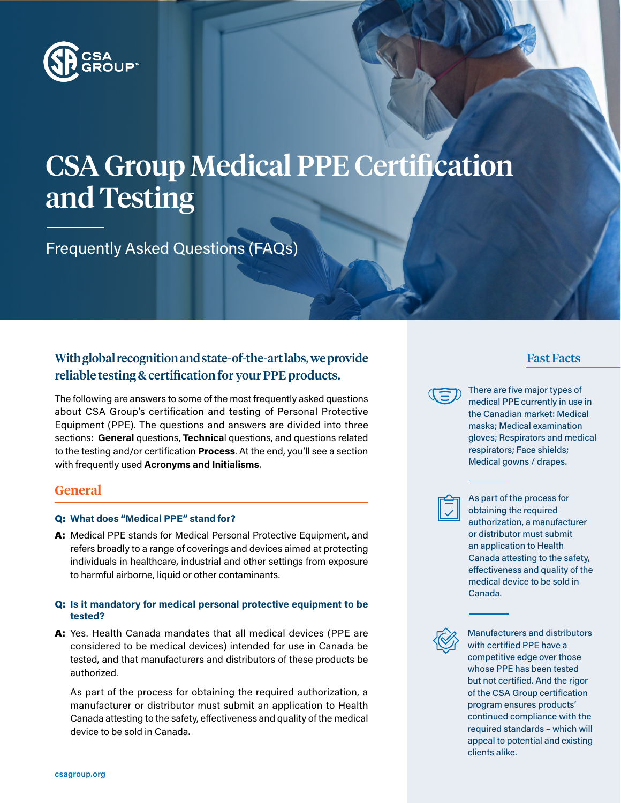

# CSA Group Medical PPE Certification and Testing

Frequently Asked Questions (FAQs)

# With global recognition and state-of-the-art labs, we provide reliable testing & certification for your PPE products.

The following are answers to some of the most frequently asked questions about CSA Group's certification and testing of Personal Protective Equipment (PPE). The questions and answers are divided into three sections: **General** questions, **Technica**l questions, and questions related to the testing and/or certification **Process**. At the end, you'll see a section with frequently used **Acronyms and Initialisms**.

# **General**

## Q: **What does "Medical PPE" stand for?**

A: Medical PPE stands for Medical Personal Protective Equipment, and refers broadly to a range of coverings and devices aimed at protecting individuals in healthcare, industrial and other settings from exposure to harmful airborne, liquid or other contaminants.

#### Q: **Is it mandatory for medical personal protective equipment to be tested?**

A: Yes. Health Canada mandates that all medical devices (PPE are considered to be medical devices) intended for use in Canada be tested, and that manufacturers and distributors of these products be authorized.

 As part of the process for obtaining the required authorization, a manufacturer or distributor must submit an application to Health Canada attesting to the safety, effectiveness and quality of the medical device to be sold in Canada.

# Fast Facts



There are five major types of medical PPE currently in use in the Canadian market: Medical masks; Medical examination gloves; Respirators and medical respirators; Face shields; Medical gowns / drapes.



As part of the process for obtaining the required authorization, a manufacturer or distributor must submit an application to Health Canada attesting to the safety, effectiveness and quality of the medical device to be sold in Canada.



Manufacturers and distributors with certified PPE have a competitive edge over those whose PPE has been tested but not certified. And the rigor of the CSA Group certification program ensures products' continued compliance with the required standards – which will appeal to potential and existing clients alike.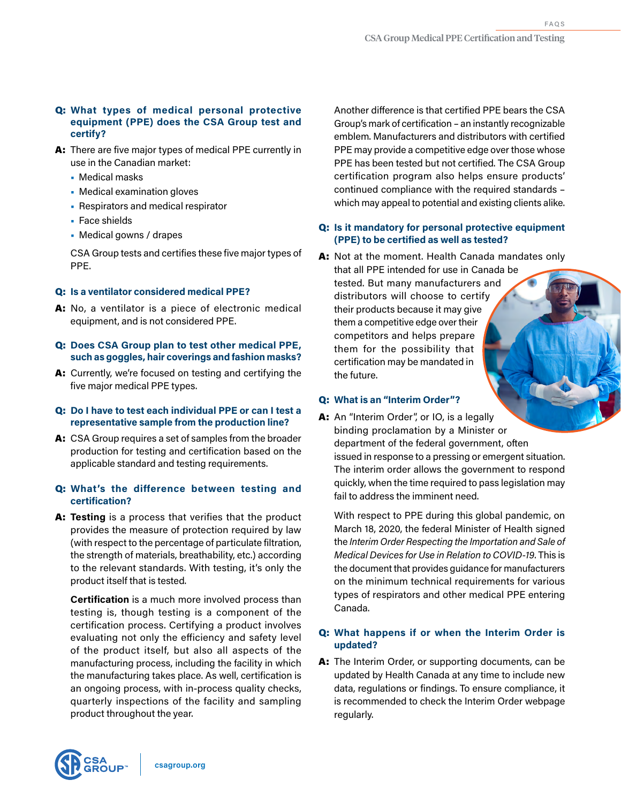#### Q: **What types of medical personal protective equipment (PPE) does the CSA Group test and certify?**

- A: There are five major types of medical PPE currently in use in the Canadian market:
	- Medical masks
	- **•** Medical examination gloves
	- **•** Respirators and medical respirator
	- **•** Face shields
	- **•** Medical gowns / drapes

 CSA Group tests and certifies these five major types of PPE.

#### Q: **Is a ventilator considered medical PPE?**

- A: No, a ventilator is a piece of electronic medical equipment, and is not considered PPE.
- Q: **Does CSA Group plan to test other medical PPE, such as goggles, hair coverings and fashion masks?**
- A: Currently, we're focused on testing and certifying the five major medical PPE types.

#### Q: **Do I have to test each individual PPE or can I test a representative sample from the production line?**

A: CSA Group requires a set of samples from the broader production for testing and certification based on the applicable standard and testing requirements.

#### Q: **What's the difference between testing and certification?**

A: **Testing** is a process that verifies that the product provides the measure of protection required by law (with respect to the percentage of particulate filtration, the strength of materials, breathability, etc.) according to the relevant standards. With testing, it's only the product itself that is tested.

 **Certification** is a much more involved process than testing is, though testing is a component of the certification process. Certifying a product involves evaluating not only the efficiency and safety level of the product itself, but also all aspects of the manufacturing process, including the facility in which the manufacturing takes place. As well, certification is an ongoing process, with in-process quality checks, quarterly inspections of the facility and sampling product throughout the year.

 Another difference is that certified PPE bears the CSA Group's mark of certification – an instantly recognizable emblem. Manufacturers and distributors with certified PPE may provide a competitive edge over those whose PPE has been tested but not certified. The CSA Group certification program also helps ensure products' continued compliance with the required standards – which may appeal to potential and existing clients alike.

#### Q: **Is it mandatory for personal protective equipment (PPE) to be certified as well as tested?**

A: Not at the moment. Health Canada mandates only that all PPE intended for use in Canada be tested. But many manufacturers and distributors will choose to certify their products because it may give them a competitive edge over their competitors and helps prepare them for the possibility that certification may be mandated in the future.

## Q: **What is an "Interim Order"?**

A: An "Interim Order", or IO, is a legally binding proclamation by a Minister or department of the federal government, often issued in response to a pressing or emergent situation. The interim order allows the government to respond quickly, when the time required to pass legislation may fail to address the imminent need.

 With respect to PPE during this global pandemic, on March 18, 2020, the federal Minister of Health signed the *Interim Order Respecting the Importation and Sale of Medical Devices for Use in Relation to COVID-19*. This is the document that provides guidance for manufacturers on the minimum technical requirements for various types of respirators and other medical PPE entering Canada.

#### Q: **What happens if or when the Interim Order is updated?**

A: The Interim Order, or supporting documents, can be updated by Health Canada at any time to include new data, regulations or findings. To ensure compliance, it is recommended to check the Interim Order webpage regularly.

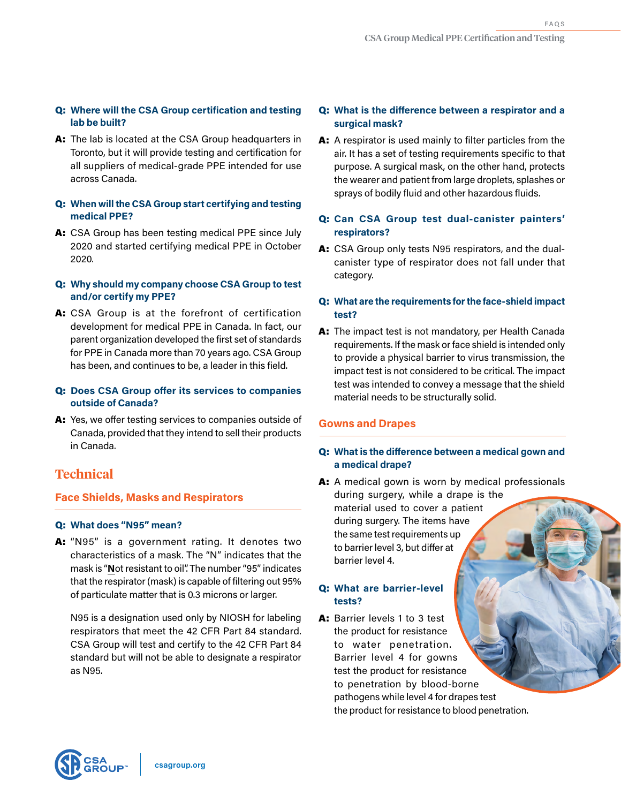## Q: **Where will the CSA Group certification and testing lab be built?**

A: The lab is located at the CSA Group headquarters in Toronto, but it will provide testing and certification for all suppliers of medical-grade PPE intended for use across Canada.

#### Q: **When will the CSA Group start certifying and testing medical PPE?**

A: CSA Group has been testing medical PPE since July 2020 and started certifying medical PPE in October 2020.

#### Q: **Why should my company choose CSA Group to test and/or certify my PPE?**

A: CSA Group is at the forefront of certification development for medical PPE in Canada. In fact, our parent organization developed the first set of standards for PPE in Canada more than 70 years ago. CSA Group has been, and continues to be, a leader in this field.

## Q: **Does CSA Group offer its services to companies outside of Canada?**

A: Yes, we offer testing services to companies outside of Canada, provided that they intend to sell their products in Canada.

# **Technical**

## **Face Shields, Masks and Respirators**

#### Q: **What does "N95" mean?**

A: "N95" is a government rating. It denotes two characteristics of a mask. The "N" indicates that the mask is "**N**ot resistant to oil". The number "95" indicates that the respirator (mask) is capable of filtering out 95% of particulate matter that is 0.3 microns or larger.

 N95 is a designation used only by NIOSH for labeling respirators that meet the 42 CFR Part 84 standard. CSA Group will test and certify to the 42 CFR Part 84 standard but will not be able to designate a respirator as N95.

#### Q: **What is the difference between a respirator and a surgical mask?**

A: A respirator is used mainly to filter particles from the air. It has a set of testing requirements specific to that purpose. A surgical mask, on the other hand, protects the wearer and patient from large droplets, splashes or sprays of bodily fluid and other hazardous fluids.

## Q: **Can CSA Group test dual-canister painters' respirators?**

A: CSA Group only tests N95 respirators, and the dualcanister type of respirator does not fall under that category.

## Q: **What are the requirements for the face-shield impact test?**

A: The impact test is not mandatory, per Health Canada requirements. If the mask or face shield is intended only to provide a physical barrier to virus transmission, the impact test is not considered to be critical. The impact test was intended to convey a message that the shield material needs to be structurally solid.

# **Gowns and Drapes**

## Q: **What is the difference between a medical gown and a medical drape?**

A: A medical gown is worn by medical professionals during surgery, while a drape is the material used to cover a patient during surgery. The items have the same test requirements up to barrier level 3, but differ at barrier level 4.

#### Q: **What are barrier-level tests?**

A: Barrier levels 1 to 3 test the product for resistance to water penetration. Barrier level 4 for gowns test the product for resistance to penetration by blood-borne pathogens while level 4 for drapes test the product for resistance to blood penetration.